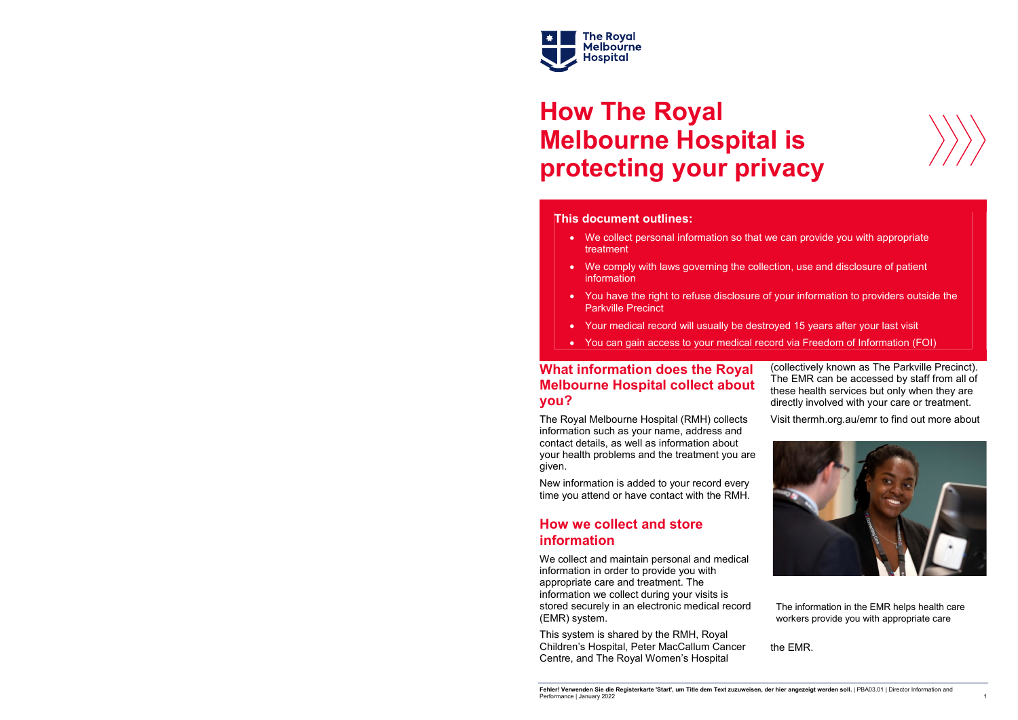

# **How The Royal Melbourne Hospital is protecting your privacy**

#### **This document outlines:**

- We collect personal information so that we can provide you with appropriate treatment
- We comply with laws governing the collection, use and disclosure of patient information
- You have the right to refuse disclosure of your information to providers outside the Parkville Precinct
- Your medical record will usually be destroyed 15 years after your last visit
- You can gain access to your medical record via Freedom of Information (FOI)

#### **What information does the Royal Melbourne Hospital collect about you?**

New information is added to your record every time you attend or have contact with the RMH.

#### **How we collect and store information**

We collect and maintain personal and medical information in order to provide you with appropriate care and treatment. The information we collect during your visits is stored securely in an electronic medical record (EMR) system.

The Royal Melbourne Hospital (RMH) collects information such as your name, address and contact details, as well as information about your health problems and the treatment you are given. Visit thermh.org.au/emr to find out more about

This system is shared by the RMH, Royal Children's Hospital, Peter MacCallum Cancer Centre, and The Royal Women's Hospital

**Fehler! Verwenden Sie die Registerkarte 'Start', um Title dem Text zuzuweisen, der hier angezeigt werden soll.** | PBA03.01 | Director Information and Performance | January 2022





(collectively known as The Parkville Precinct). The EMR can be accessed by staff from all of these health services but only when they are directly involved with your care or treatment.



the EMR.

The information in the EMR helps health care workers provide you with appropriate care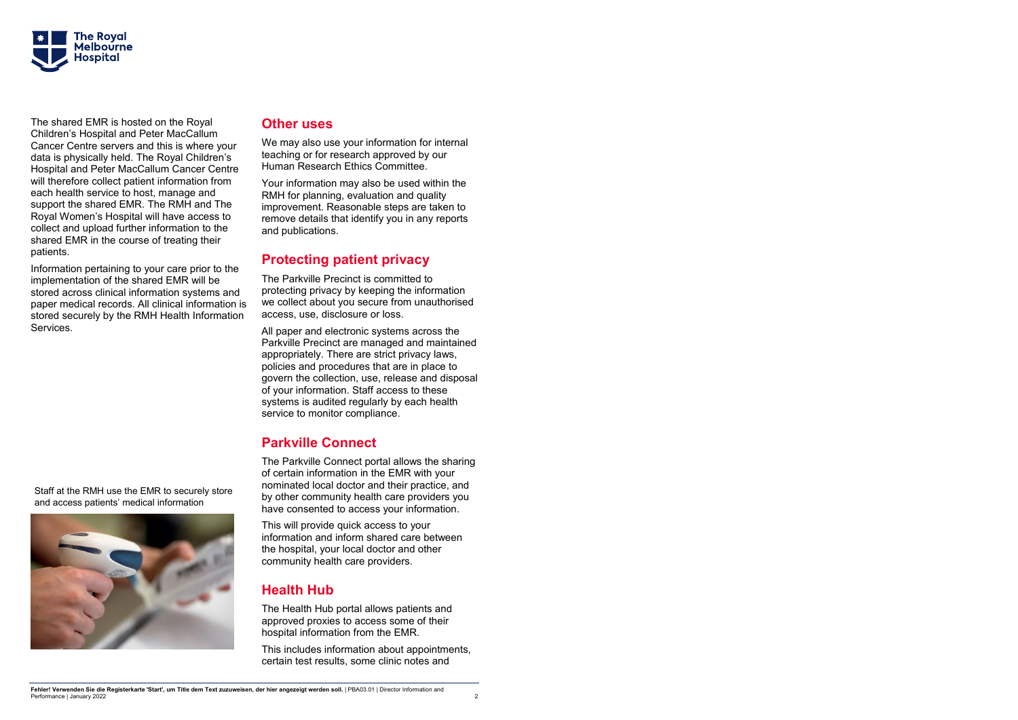

The shared EMR is hosted on the Royal Children's Hospital and Peter MacCallum Cancer Centre servers and this is where your data is physically held. The Royal Children's Hospital and Peter MacCallum Cancer Centre will therefore collect patient information from each health service to host, manage and support the shared EMR. The RMH and The Royal Women's Hospital will have access to collect and upload further information to the shared EMR in the course of treating their patients.

Information pertaining to your care prior to the implementation of the shared EMR will be stored across clinical information systems and paper medical records. All clinical information is stored securely by the RMH Health Information Services.

#### **Other uses**

We may also use your information for internal teaching or for research approved by our Human Research Ethics Committee.

Your information may also be used within the RMH for planning, evaluation and quality improvement. Reasonable steps are taken to remove details that identify you in any reports and publications.

## **Protecting patient privacy**

The Parkville Precinct is committed to protecting privacy by keeping the information we collect about you secure from unauthorised access, use, disclosure or loss.

All paper and electronic systems across the Parkville Precinct are managed and maintained appropriately. There are strict privacy laws, policies and procedures that are in place to govern the collection, use, release and disposal of your information. Staff access to these systems is audited regularly by each health service to monitor compliance.

## **Parkville Connect**

The Parkville Connect portal allows the sharing of certain information in the EMR with your nominated local doctor and their practice, and by other community health care providers you have consented to access your information.

This will provide quick access to your information and inform shared care between the hospital, your local doctor and other community health care providers.

#### **Health Hub**

The Health Hub portal allows patients and approved proxies to access some of their hospital information from the EMR.

This includes information about appointments, certain test results, some clinic notes and

Staff at the RMH use the EMR to securely store and access patients' medical information

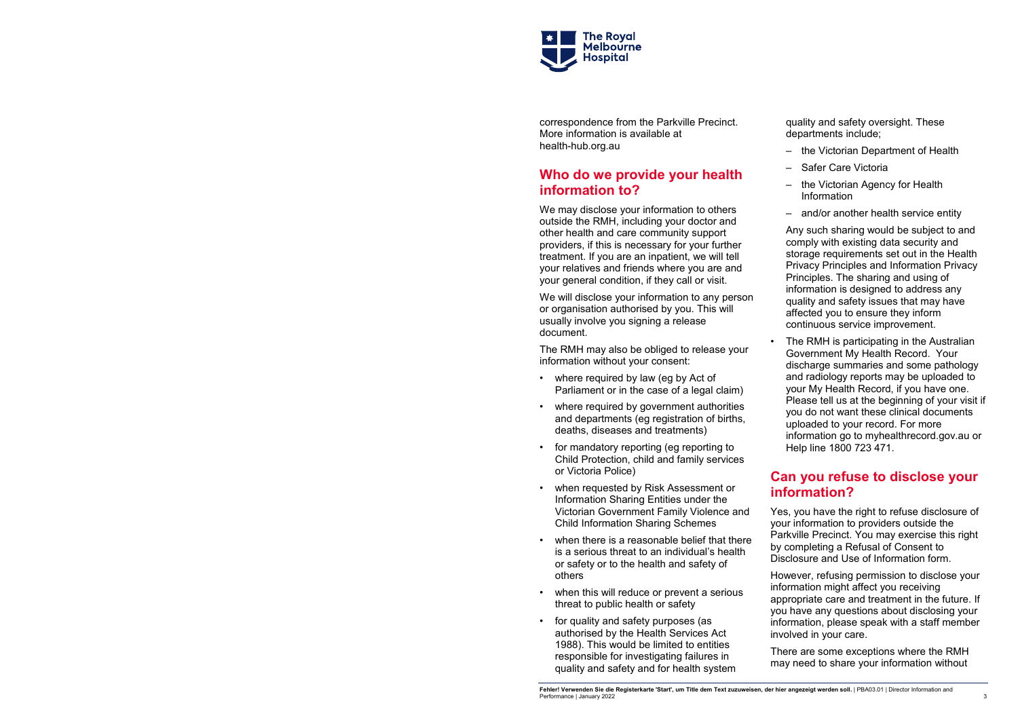

correspondence from the Parkville Precinct. More information is available at health-hub.org.au

### **Who do we provide your health information to?**

We may disclose your information to others outside the RMH, including your doctor and other health and care community support providers, if this is necessary for your further treatment. If you are an inpatient, we will tell your relatives and friends where you are and your general condition, if they call or visit.

We will disclose your information to any person or organisation authorised by you. This will usually involve you signing a release document.

The RMH may also be obliged to release your information without your consent:

- where required by law (eg by Act of Parliament or in the case of a legal claim)
- where required by government authorities and departments (eg registration of births, deaths, diseases and treatments)
- for mandatory reporting (eg reporting to Child Protection, child and family services or Victoria Police)
- when requested by Risk Assessment or Information Sharing Entities under the Victorian Government Family Violence and Child Information Sharing Schemes
- when there is a reasonable belief that there is a serious threat to an individual's health or safety or to the health and safety of others
- when this will reduce or prevent a serious threat to public health or safety
- for quality and safety purposes (as authorised by the Health Services Act 1988). This would be limited to entities responsible for investigating failures in quality and safety and for health system

**Fehler! Verwenden Sie die Registerkarte 'Start', um Title dem Text zuzuweisen, der hier angezeigt werden soll.** | PBA03.01 | Director Information and Performance | January 2022 3

The RMH is participating in the Australian Government My Health Record. Your discharge summaries and some pathology and radiology reports may be uploaded to your My Health Record, if you have one. Please tell us at the beginning of your visit if you do not want these clinical documents uploaded to your record. For more information go to myhealthrecord.gov.au or Help line 1800 723 471.

quality and safety oversight. These departments include;

- the Victorian Department of Health
- Safer Care Victoria
- the Victorian Agency for Health Information
- and/or another health service entity

Any such sharing would be subject to and comply with existing data security and storage requirements set out in the Health Privacy Principles and Information Privacy Principles. The sharing and using of information is designed to address any quality and safety issues that may have affected you to ensure they inform continuous service improvement.

#### **Can you refuse to disclose your information?**

Yes, you have the right to refuse disclosure of your information to providers outside the Parkville Precinct. You may exercise this right by completing a Refusal of Consent to Disclosure and Use of Information form.

However, refusing permission to disclose your information might affect you receiving appropriate care and treatment in the future. If you have any questions about disclosing your information, please speak with a staff member involved in your care.

There are some exceptions where the RMH may need to share your information without